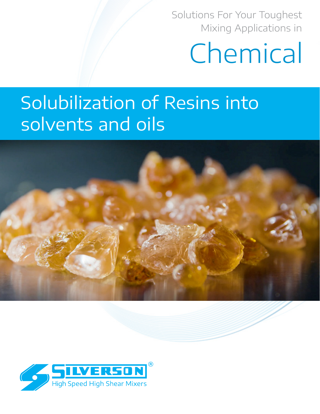Solutions For Your Toughest Mixing Applications in

# Chemical

# Solubilization of Resins into solvents and oils



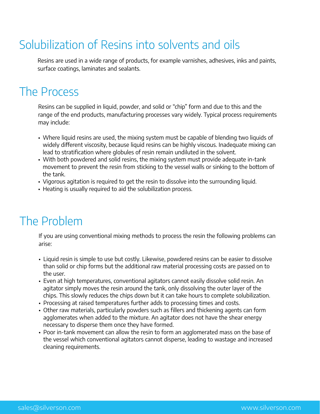# Solubilization of Resins into solvents and oils

Resins are used in a wide range of products, for example varnishes, adhesives, inks and paints, surface coatings, laminates and sealants.

## The Process

Resins can be supplied in liquid, powder, and solid or "chip" form and due to this and the range of the end products, manufacturing processes vary widely. Typical process requirements may include:

- Where liquid resins are used, the mixing system must be capable of blending two liquids of widely different viscosity, because liquid resins can be highly viscous. Inadequate mixing can lead to stratification where globules of resin remain undiluted in the solvent.
- With both powdered and solid resins, the mixing system must provide adequate in-tank movement to prevent the resin from sticking to the vessel walls or sinking to the bottom of the tank.
- Vigorous agitation is required to get the resin to dissolve into the surrounding liquid.
- Heating is usually required to aid the solubilization process.

## The Problem

If you are using conventional mixing methods to process the resin the following problems can arise:

- Liquid resin is simple to use but costly. Likewise, powdered resins can be easier to dissolve than solid or chip forms but the additional raw material processing costs are passed on to the user.
- Even at high temperatures, conventional agitators cannot easily dissolve solid resin. An agitator simply moves the resin around the tank, only dissolving the outer layer of the chips. This slowly reduces the chips down but it can take hours to complete solubilization.
- Processing at raised temperatures further adds to processing times and costs.
- Other raw materials, particularly powders such as fillers and thickening agents can form agglomerates when added to the mixture. An agitator does not have the shear energy necessary to disperse them once they have formed.
- Poor in-tank movement can allow the resin to form an agglomerated mass on the base of the vessel which conventional agitators cannot disperse, leading to wastage and increased cleaning requirements.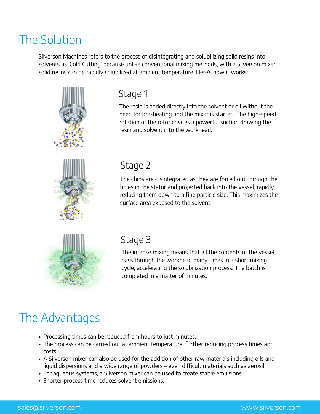#### The Solution

Silverson Machines refers to the process of disintegrating and solubilizing solid resins into solvents as 'Cold Cutting' because unlike conventional mixing methods, with a Silverson mixer, solid resins can be rapidly solubilized at ambient temperature. Here's how it works:



#### Stage 1

The resin is added directly into the solvent or oil without the need for pre-heating and the mixer is started. The high-speed rotation of the rotor creates a powerful suction drawing the resin and solvent into the workhead.

#### Stage 2

The chips are disintegrated as they are forced out through the holes in the stator and projected back into the vessel, rapidly reducing them down to a fine particle size. This maximizes the surface area exposed to the solvent.



#### Stage 3

The intense mixing means that all the contents of the vessel pass through the workhead many times in a short mixing cycle, accelerating the solubilization process. The batch is completed in a matter of minutes.

# The Advantages

- Processing times can be reduced from hours to just minutes.
- The process can be carried out at ambient temperature, further reducing process times and costs.
- A Silverson mixer can also be used for the addition of other raw materials including oils and liquid dispersions and a wide range of powders – even difficult materials such as aerosil.
- For aqueous systems, a Silverson mixer can be used to create stable emulsions.
- Shorter process time reduces solvent emissions.